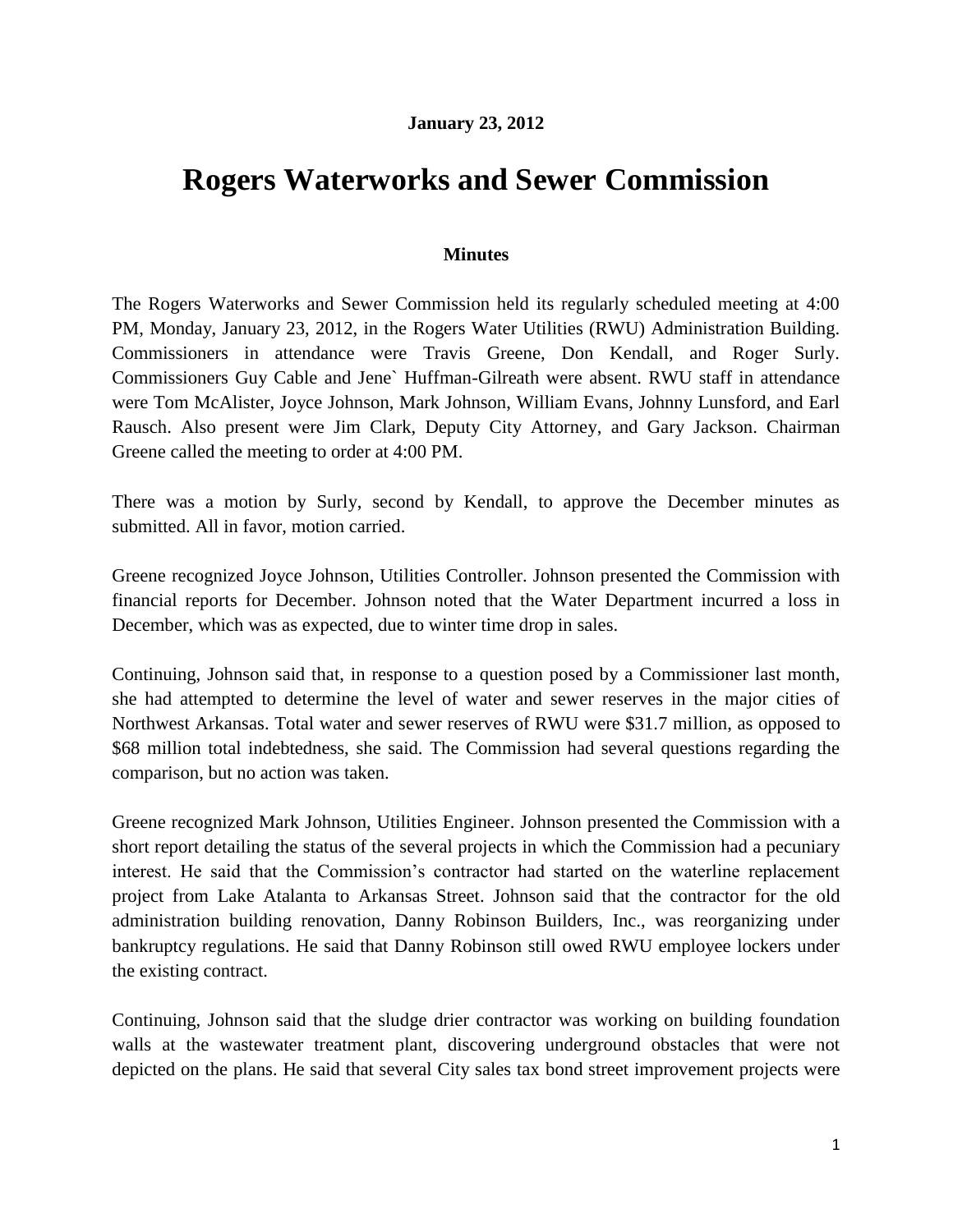## **January 23, 2012**

## **Rogers Waterworks and Sewer Commission**

## **Minutes**

The Rogers Waterworks and Sewer Commission held its regularly scheduled meeting at 4:00 PM, Monday, January 23, 2012, in the Rogers Water Utilities (RWU) Administration Building. Commissioners in attendance were Travis Greene, Don Kendall, and Roger Surly. Commissioners Guy Cable and Jene` Huffman-Gilreath were absent. RWU staff in attendance were Tom McAlister, Joyce Johnson, Mark Johnson, William Evans, Johnny Lunsford, and Earl Rausch. Also present were Jim Clark, Deputy City Attorney, and Gary Jackson. Chairman Greene called the meeting to order at 4:00 PM.

There was a motion by Surly, second by Kendall, to approve the December minutes as submitted. All in favor, motion carried.

Greene recognized Joyce Johnson, Utilities Controller. Johnson presented the Commission with financial reports for December. Johnson noted that the Water Department incurred a loss in December, which was as expected, due to winter time drop in sales.

Continuing, Johnson said that, in response to a question posed by a Commissioner last month, she had attempted to determine the level of water and sewer reserves in the major cities of Northwest Arkansas. Total water and sewer reserves of RWU were \$31.7 million, as opposed to \$68 million total indebtedness, she said. The Commission had several questions regarding the comparison, but no action was taken.

Greene recognized Mark Johnson, Utilities Engineer. Johnson presented the Commission with a short report detailing the status of the several projects in which the Commission had a pecuniary interest. He said that the Commission's contractor had started on the waterline replacement project from Lake Atalanta to Arkansas Street. Johnson said that the contractor for the old administration building renovation, Danny Robinson Builders, Inc., was reorganizing under bankruptcy regulations. He said that Danny Robinson still owed RWU employee lockers under the existing contract.

Continuing, Johnson said that the sludge drier contractor was working on building foundation walls at the wastewater treatment plant, discovering underground obstacles that were not depicted on the plans. He said that several City sales tax bond street improvement projects were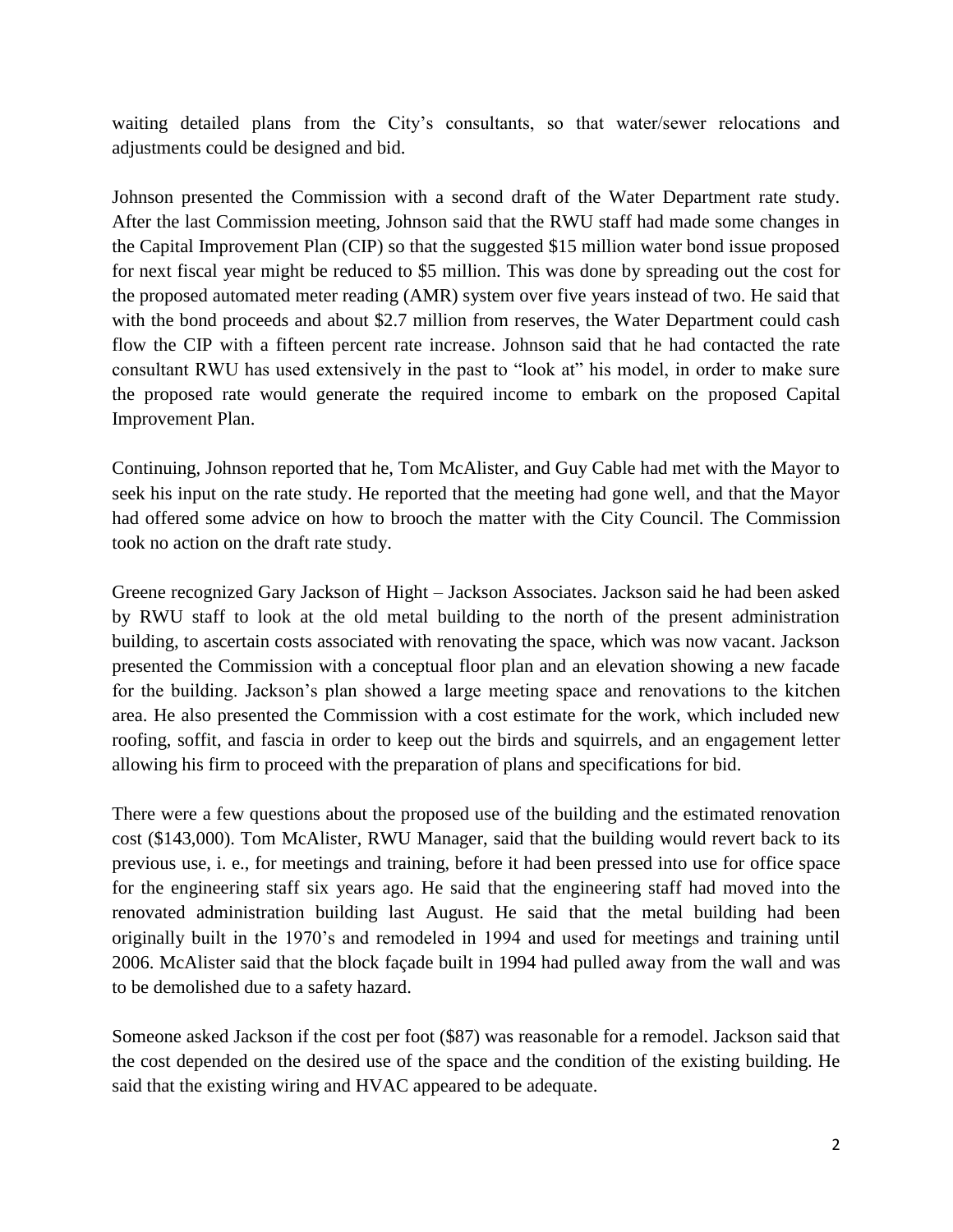waiting detailed plans from the City's consultants, so that water/sewer relocations and adjustments could be designed and bid.

Johnson presented the Commission with a second draft of the Water Department rate study. After the last Commission meeting, Johnson said that the RWU staff had made some changes in the Capital Improvement Plan (CIP) so that the suggested \$15 million water bond issue proposed for next fiscal year might be reduced to \$5 million. This was done by spreading out the cost for the proposed automated meter reading (AMR) system over five years instead of two. He said that with the bond proceeds and about \$2.7 million from reserves, the Water Department could cash flow the CIP with a fifteen percent rate increase. Johnson said that he had contacted the rate consultant RWU has used extensively in the past to "look at" his model, in order to make sure the proposed rate would generate the required income to embark on the proposed Capital Improvement Plan.

Continuing, Johnson reported that he, Tom McAlister, and Guy Cable had met with the Mayor to seek his input on the rate study. He reported that the meeting had gone well, and that the Mayor had offered some advice on how to brooch the matter with the City Council. The Commission took no action on the draft rate study.

Greene recognized Gary Jackson of Hight – Jackson Associates. Jackson said he had been asked by RWU staff to look at the old metal building to the north of the present administration building, to ascertain costs associated with renovating the space, which was now vacant. Jackson presented the Commission with a conceptual floor plan and an elevation showing a new facade for the building. Jackson's plan showed a large meeting space and renovations to the kitchen area. He also presented the Commission with a cost estimate for the work, which included new roofing, soffit, and fascia in order to keep out the birds and squirrels, and an engagement letter allowing his firm to proceed with the preparation of plans and specifications for bid.

There were a few questions about the proposed use of the building and the estimated renovation cost (\$143,000). Tom McAlister, RWU Manager, said that the building would revert back to its previous use, i. e., for meetings and training, before it had been pressed into use for office space for the engineering staff six years ago. He said that the engineering staff had moved into the renovated administration building last August. He said that the metal building had been originally built in the 1970's and remodeled in 1994 and used for meetings and training until 2006. McAlister said that the block façade built in 1994 had pulled away from the wall and was to be demolished due to a safety hazard.

Someone asked Jackson if the cost per foot (\$87) was reasonable for a remodel. Jackson said that the cost depended on the desired use of the space and the condition of the existing building. He said that the existing wiring and HVAC appeared to be adequate.